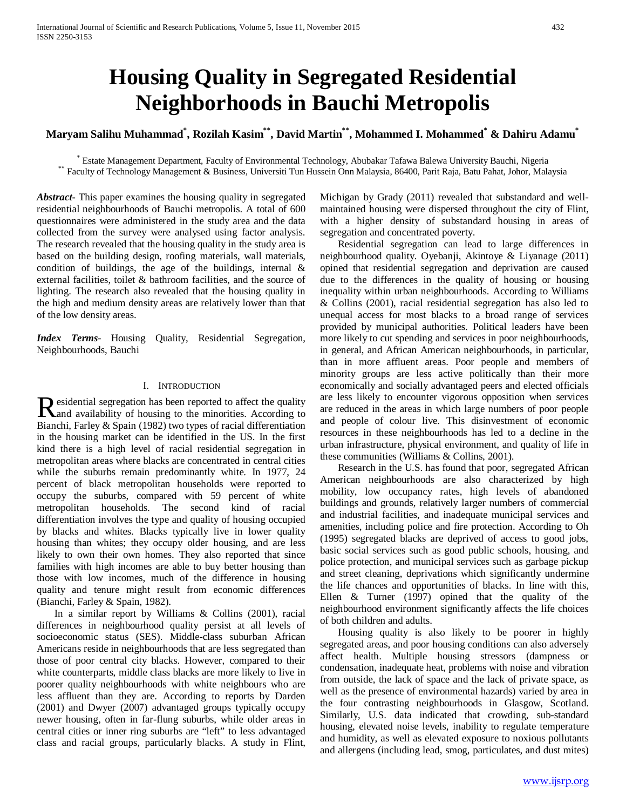# **Housing Quality in Segregated Residential Neighborhoods in Bauchi Metropolis**

**Maryam Salihu Muhammad\* , Rozilah Kasim\*\*, David Martin\*\*, Mohammed I. Mohammed\* & Dahiru Adamu\***

\* Estate Management Department, Faculty of Environmental Technology, Abubakar Tafawa Balewa University Bauchi, Nigeria<br>\*\* Faculty of Technology Management & Business, Universiti Tun Hussein Onn Malaysia, 86400, Parit Raja,

*Abstract***-** This paper examines the housing quality in segregated residential neighbourhoods of Bauchi metropolis. A total of 600 questionnaires were administered in the study area and the data collected from the survey were analysed using factor analysis. The research revealed that the housing quality in the study area is based on the building design, roofing materials, wall materials, condition of buildings, the age of the buildings, internal  $\&$ external facilities, toilet & bathroom facilities, and the source of lighting. The research also revealed that the housing quality in the high and medium density areas are relatively lower than that of the low density areas.

*Index Terms*- Housing Quality, Residential Segregation, Neighbourhoods, Bauchi

## I. INTRODUCTION

esidential segregation has been reported to affect the quality Residential segregation has been reported to affect the quality<br>and availability of housing to the minorities. According to Bianchi, Farley & Spain (1982) two types of racial differentiation in the housing market can be identified in the US. In the first kind there is a high level of racial residential segregation in metropolitan areas where blacks are concentrated in central cities while the suburbs remain predominantly white. In 1977, 24 percent of black metropolitan households were reported to occupy the suburbs, compared with 59 percent of white metropolitan households. The second kind of racial differentiation involves the type and quality of housing occupied by blacks and whites. Blacks typically live in lower quality housing than whites; they occupy older housing, and are less likely to own their own homes. They also reported that since families with high incomes are able to buy better housing than those with low incomes, much of the difference in housing quality and tenure might result from economic differences (Bianchi, Farley & Spain, 1982).

 In a similar report by Williams & Collins (2001), racial differences in neighbourhood quality persist at all levels of socioeconomic status (SES). Middle-class suburban African Americans reside in neighbourhoods that are less segregated than those of poor central city blacks. However, compared to their white counterparts, middle class blacks are more likely to live in poorer quality neighbourhoods with white neighbours who are less affluent than they are. According to reports by Darden (2001) and Dwyer (2007) advantaged groups typically occupy newer housing, often in far-flung suburbs, while older areas in central cities or inner ring suburbs are "left" to less advantaged class and racial groups, particularly blacks. A study in Flint,

Michigan by Grady (2011) revealed that substandard and wellmaintained housing were dispersed throughout the city of Flint, with a higher density of substandard housing in areas of segregation and concentrated poverty.

 Residential segregation can lead to large differences in neighbourhood quality. Oyebanji, Akintoye & Liyanage (2011) opined that residential segregation and deprivation are caused due to the differences in the quality of housing or housing inequality within urban neighbourhoods. According to Williams & Collins (2001), racial residential segregation has also led to unequal access for most blacks to a broad range of services provided by municipal authorities. Political leaders have been more likely to cut spending and services in poor neighbourhoods, in general, and African American neighbourhoods, in particular, than in more affluent areas. Poor people and members of minority groups are less active politically than their more economically and socially advantaged peers and elected officials are less likely to encounter vigorous opposition when services are reduced in the areas in which large numbers of poor people and people of colour live. This disinvestment of economic resources in these neighbourhoods has led to a decline in the urban infrastructure, physical environment, and quality of life in these communities (Williams & Collins, 2001).

 Research in the U.S. has found that poor, segregated African American neighbourhoods are also characterized by high mobility, low occupancy rates, high levels of abandoned buildings and grounds, relatively larger numbers of commercial and industrial facilities, and inadequate municipal services and amenities, including police and fire protection. According to Oh (1995) segregated blacks are deprived of access to good jobs, basic social services such as good public schools, housing, and police protection, and municipal services such as garbage pickup and street cleaning, deprivations which significantly undermine the life chances and opportunities of blacks. In line with this, Ellen & Turner (1997) opined that the quality of the neighbourhood environment significantly affects the life choices of both children and adults.

 Housing quality is also likely to be poorer in highly segregated areas, and poor housing conditions can also adversely affect health. Multiple housing stressors (dampness or condensation, inadequate heat, problems with noise and vibration from outside, the lack of space and the lack of private space, as well as the presence of environmental hazards) varied by area in the four contrasting neighbourhoods in Glasgow, Scotland. Similarly, U.S. data indicated that crowding, sub-standard housing, elevated noise levels, inability to regulate temperature and humidity, as well as elevated exposure to noxious pollutants and allergens (including lead, smog, particulates, and dust mites)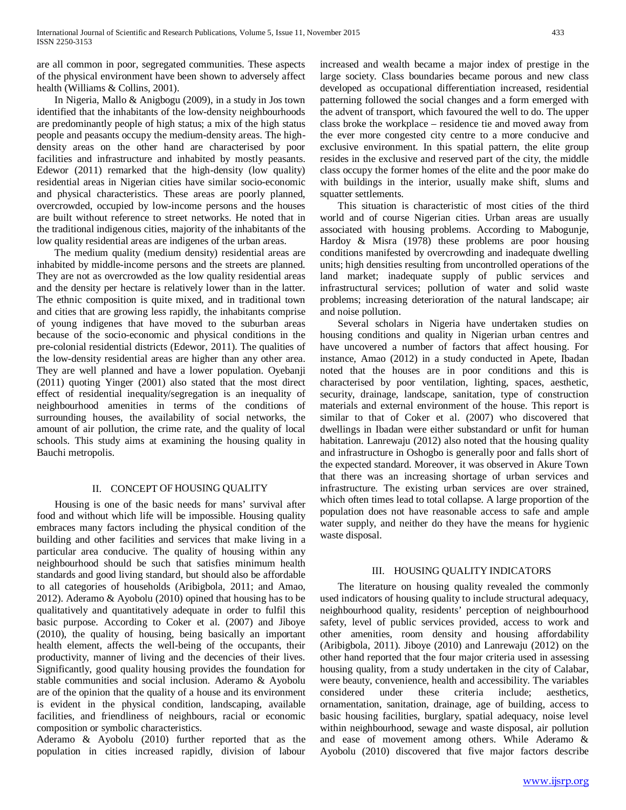are all common in poor, segregated communities. These aspects of the physical environment have been shown to adversely affect health (Williams & Collins, 2001).

 In Nigeria, Mallo & Anigbogu (2009), in a study in Jos town identified that the inhabitants of the low-density neighbourhoods are predominantly people of high status; a mix of the high status people and peasants occupy the medium-density areas. The highdensity areas on the other hand are characterised by poor facilities and infrastructure and inhabited by mostly peasants. Edewor (2011) remarked that the high-density (low quality) residential areas in Nigerian cities have similar socio-economic and physical characteristics. These areas are poorly planned, overcrowded, occupied by low-income persons and the houses are built without reference to street networks. He noted that in the traditional indigenous cities, majority of the inhabitants of the low quality residential areas are indigenes of the urban areas.

 The medium quality (medium density) residential areas are inhabited by middle-income persons and the streets are planned. They are not as overcrowded as the low quality residential areas and the density per hectare is relatively lower than in the latter. The ethnic composition is quite mixed, and in traditional town and cities that are growing less rapidly, the inhabitants comprise of young indigenes that have moved to the suburban areas because of the socio-economic and physical conditions in the pre-colonial residential districts (Edewor, 2011). The qualities of the low-density residential areas are higher than any other area. They are well planned and have a lower population. Oyebanji (2011) quoting Yinger (2001) also stated that the most direct effect of residential inequality/segregation is an inequality of neighbourhood amenities in terms of the conditions of surrounding houses, the availability of social networks, the amount of air pollution, the crime rate, and the quality of local schools. This study aims at examining the housing quality in Bauchi metropolis.

## II. CONCEPT OF HOUSING QUALITY

 Housing is one of the basic needs for mans' survival after food and without which life will be impossible. Housing quality embraces many factors including the physical condition of the building and other facilities and services that make living in a particular area conducive. The quality of housing within any neighbourhood should be such that satisfies minimum health standards and good living standard, but should also be affordable to all categories of households (Aribigbola, 2011; and Amao, 2012). Aderamo & Ayobolu (2010) opined that housing has to be qualitatively and quantitatively adequate in order to fulfil this basic purpose. According to Coker et al. (2007) and Jiboye (2010), the quality of housing, being basically an important health element, affects the well-being of the occupants, their productivity, manner of living and the decencies of their lives. Significantly, good quality housing provides the foundation for stable communities and social inclusion. Aderamo & Ayobolu are of the opinion that the quality of a house and its environment is evident in the physical condition, landscaping, available facilities, and friendliness of neighbours, racial or economic composition or symbolic characteristics.

Aderamo & Ayobolu (2010) further reported that as the population in cities increased rapidly, division of labour

increased and wealth became a major index of prestige in the large society. Class boundaries became porous and new class developed as occupational differentiation increased, residential patterning followed the social changes and a form emerged with the advent of transport, which favoured the well to do. The upper class broke the workplace – residence tie and moved away from the ever more congested city centre to a more conducive and exclusive environment. In this spatial pattern, the elite group resides in the exclusive and reserved part of the city, the middle class occupy the former homes of the elite and the poor make do with buildings in the interior, usually make shift, slums and squatter settlements.

 This situation is characteristic of most cities of the third world and of course Nigerian cities. Urban areas are usually associated with housing problems. According to Mabogunje, Hardoy & Misra (1978) these problems are poor housing conditions manifested by overcrowding and inadequate dwelling units; high densities resulting from uncontrolled operations of the land market; inadequate supply of public services and infrastructural services; pollution of water and solid waste problems; increasing deterioration of the natural landscape; air and noise pollution.

 Several scholars in Nigeria have undertaken studies on housing conditions and quality in Nigerian urban centres and have uncovered a number of factors that affect housing. For instance, Amao (2012) in a study conducted in Apete, Ibadan noted that the houses are in poor conditions and this is characterised by poor ventilation, lighting, spaces, aesthetic, security, drainage, landscape, sanitation, type of construction materials and external environment of the house. This report is similar to that of Coker et al. (2007) who discovered that dwellings in Ibadan were either substandard or unfit for human habitation. Lanrewaju (2012) also noted that the housing quality and infrastructure in Oshogbo is generally poor and falls short of the expected standard. Moreover, it was observed in Akure Town that there was an increasing shortage of urban services and infrastructure. The existing urban services are over strained, which often times lead to total collapse. A large proportion of the population does not have reasonable access to safe and ample water supply, and neither do they have the means for hygienic waste disposal.

## III. HOUSING QUALITY INDICATORS

 The literature on housing quality revealed the commonly used indicators of housing quality to include structural adequacy, neighbourhood quality, residents' perception of neighbourhood safety, level of public services provided, access to work and other amenities, room density and housing affordability (Aribigbola, 2011). Jiboye (2010) and Lanrewaju (2012) on the other hand reported that the four major criteria used in assessing housing quality, from a study undertaken in the city of Calabar, were beauty, convenience, health and accessibility. The variables considered under these criteria include; aesthetics, considered under these criteria include; aesthetics, ornamentation, sanitation, drainage, age of building, access to basic housing facilities, burglary, spatial adequacy, noise level within neighbourhood, sewage and waste disposal, air pollution and ease of movement among others. While Aderamo & Ayobolu (2010) discovered that five major factors describe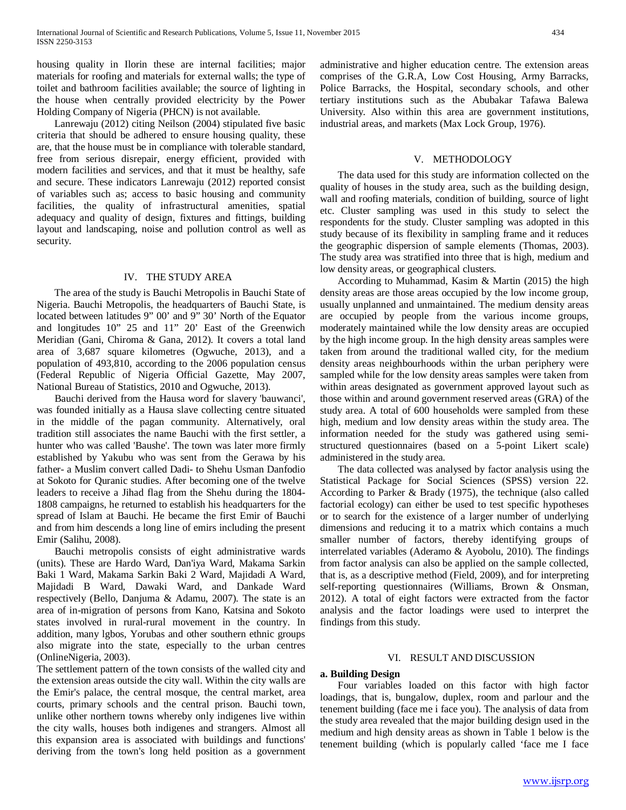housing quality in Ilorin these are internal facilities; major materials for roofing and materials for external walls; the type of toilet and bathroom facilities available; the source of lighting in the house when centrally provided electricity by the Power Holding Company of Nigeria (PHCN) is not available.

 Lanrewaju (2012) citing Neilson (2004) stipulated five basic criteria that should be adhered to ensure housing quality, these are, that the house must be in compliance with tolerable standard, free from serious disrepair, energy efficient, provided with modern facilities and services, and that it must be healthy, safe and secure. These indicators Lanrewaju (2012) reported consist of variables such as; access to basic housing and community facilities, the quality of infrastructural amenities, spatial adequacy and quality of design, fixtures and fittings, building layout and landscaping, noise and pollution control as well as security.

## IV. THE STUDY AREA

 The area of the study is Bauchi Metropolis in Bauchi State of Nigeria. Bauchi Metropolis, the headquarters of Bauchi State, is located between latitudes 9" 00' and 9" 30' North of the Equator and longitudes 10" 25 and 11" 20' East of the Greenwich Meridian (Gani, Chiroma & Gana, 2012). It covers a total land area of 3,687 square kilometres (Ogwuche, 2013), and a population of 493,810, according to the 2006 population census (Federal Republic of Nigeria Official Gazette, May 2007, National Bureau of Statistics, 2010 and Ogwuche, 2013).

 Bauchi derived from the Hausa word for slavery 'bauwanci', was founded initially as a Hausa slave collecting centre situated in the middle of the pagan community. Alternatively, oral tradition still associates the name Bauchi with the first settler, a hunter who was called 'Baushe'. The town was later more firmly established by Yakubu who was sent from the Gerawa by his father- a Muslim convert called Dadi- to Shehu Usman Danfodio at Sokoto for Quranic studies. After becoming one of the twelve leaders to receive a Jihad flag from the Shehu during the 1804- 1808 campaigns, he returned to establish his headquarters for the spread of Islam at Bauchi. He became the first Emir of Bauchi and from him descends a long line of emirs including the present Emir (Salihu, 2008).

 Bauchi metropolis consists of eight administrative wards (units). These are Hardo Ward, Dan'iya Ward, Makama Sarkin Baki 1 Ward, Makama Sarkin Baki 2 Ward, Majidadi A Ward, Majidadi B Ward, Dawaki Ward, and Dankade Ward respectively (Bello, Danjuma & Adamu, 2007). The state is an area of in-migration of persons from Kano, Katsina and Sokoto states involved in rural-rural movement in the country. In addition, many lgbos, Yorubas and other southern ethnic groups also migrate into the state, especially to the urban centres (OnlineNigeria, 2003).

The settlement pattern of the town consists of the walled city and the extension areas outside the city wall. Within the city walls are the Emir's palace, the central mosque, the central market, area courts, primary schools and the central prison. Bauchi town, unlike other northern towns whereby only indigenes live within the city walls, houses both indigenes and strangers. Almost all this expansion area is associated with buildings and functions' deriving from the town's long held position as a government

administrative and higher education centre. The extension areas comprises of the G.R.A, Low Cost Housing, Army Barracks, Police Barracks, the Hospital, secondary schools, and other tertiary institutions such as the Abubakar Tafawa Balewa University. Also within this area are government institutions, industrial areas, and markets (Max Lock Group, 1976).

#### V. METHODOLOGY

 The data used for this study are information collected on the quality of houses in the study area, such as the building design, wall and roofing materials, condition of building, source of light etc. Cluster sampling was used in this study to select the respondents for the study. Cluster sampling was adopted in this study because of its flexibility in sampling frame and it reduces the geographic dispersion of sample elements (Thomas, 2003). The study area was stratified into three that is high, medium and low density areas, or geographical clusters.

 According to Muhammad, Kasim & Martin (2015) the high density areas are those areas occupied by the low income group, usually unplanned and unmaintained. The medium density areas are occupied by people from the various income groups, moderately maintained while the low density areas are occupied by the high income group. In the high density areas samples were taken from around the traditional walled city, for the medium density areas neighbourhoods within the urban periphery were sampled while for the low density areas samples were taken from within areas designated as government approved layout such as those within and around government reserved areas (GRA) of the study area. A total of 600 households were sampled from these high, medium and low density areas within the study area. The information needed for the study was gathered using semistructured questionnaires (based on a 5-point Likert scale) administered in the study area.

 The data collected was analysed by factor analysis using the Statistical Package for Social Sciences (SPSS) version 22. According to Parker & Brady (1975), the technique (also called factorial ecology) can either be used to test specific hypotheses or to search for the existence of a larger number of underlying dimensions and reducing it to a matrix which contains a much smaller number of factors, thereby identifying groups of interrelated variables (Aderamo & Ayobolu, 2010). The findings from factor analysis can also be applied on the sample collected, that is, as a descriptive method (Field, 2009), and for interpreting self-reporting questionnaires (Williams, Brown & Onsman, 2012). A total of eight factors were extracted from the factor analysis and the factor loadings were used to interpret the findings from this study.

## VI. RESULT AND DISCUSSION

## **a. Building Design**

 Four variables loaded on this factor with high factor loadings, that is, bungalow, duplex, room and parlour and the tenement building (face me i face you). The analysis of data from the study area revealed that the major building design used in the medium and high density areas as shown in Table 1 below is the tenement building (which is popularly called 'face me I face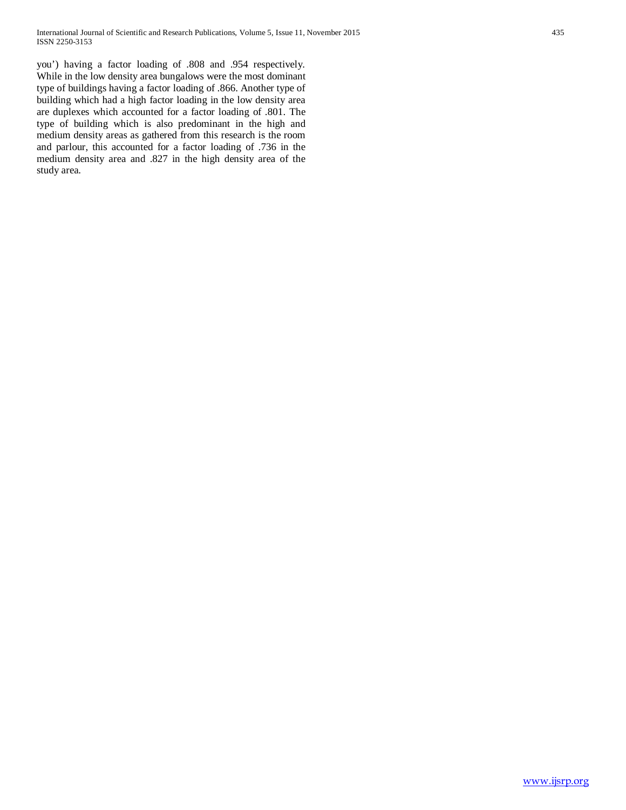you') having a factor loading of .808 and .954 respectively. While in the low density area bungalows were the most dominant type of buildings having a factor loading of .866. Another type of building which had a high factor loading in the low density area are duplexes which accounted for a factor loading of .801. The type of building which is also predominant in the high and medium density areas as gathered from this research is the room and parlour, this accounted for a factor loading of .736 in the medium density area and .827 in the high density area of the study area.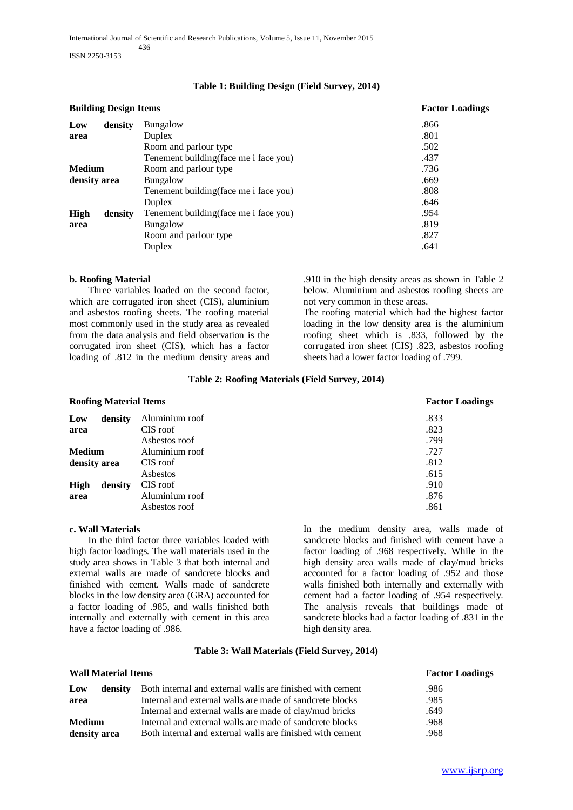| <b>Building Design Items</b> |                                        | <b>Factor Loadings</b> |  |
|------------------------------|----------------------------------------|------------------------|--|
| density                      | Bungalow                               | .866                   |  |
|                              | Duplex                                 | .801                   |  |
|                              | Room and parlour type                  | .502                   |  |
|                              | Tenement building (face me i face you) | .437                   |  |
| <b>Medium</b>                | Room and parlour type                  | .736                   |  |
| density area                 | Bungalow                               | .669                   |  |
|                              | Tenement building (face me i face you) | .808                   |  |
|                              | Duplex                                 | .646                   |  |
| density                      | Tenement building (face me i face you) | .954                   |  |
|                              | Bungalow                               | .819                   |  |
|                              | Room and parlour type                  | .827                   |  |
|                              | Duplex                                 | .641                   |  |
|                              |                                        |                        |  |

## **b. Roofing Material**

 Three variables loaded on the second factor, which are corrugated iron sheet (CIS), aluminium and asbestos roofing sheets. The roofing material most commonly used in the study area as revealed from the data analysis and field observation is the corrugated iron sheet (CIS), which has a factor loading of .812 in the medium density areas and .910 in the high density areas as shown in Table 2 below. Aluminium and asbestos roofing sheets are not very common in these areas.

The roofing material which had the highest factor loading in the low density area is the aluminium roofing sheet which is .833, followed by the corrugated iron sheet (CIS) .823, asbestos roofing sheets had a lower factor loading of .799.

## **Table 2: Roofing Materials (Field Survey, 2014)**

## **Roofing Material Items Factor Loadings**

| density       | Aluminium roof | .833 |
|---------------|----------------|------|
|               | CIS roof       | .823 |
|               | Asbestos roof  | .799 |
| <b>Medium</b> | Aluminium roof | .727 |
| density area  | CIS roof       | .812 |
|               | Asbestos       | .615 |
| density       | CIS roof       | .910 |
|               | Aluminium roof | .876 |
|               | Asbestos roof  | .861 |
|               |                |      |

## **c. Wall Materials**

 In the third factor three variables loaded with high factor loadings. The wall materials used in the study area shows in Table 3 that both internal and external walls are made of sandcrete blocks and finished with cement. Walls made of sandcrete blocks in the low density area (GRA) accounted for a factor loading of .985, and walls finished both internally and externally with cement in this area have a factor loading of .986.

In the medium density area, walls made of sandcrete blocks and finished with cement have a factor loading of .968 respectively. While in the high density area walls made of clay/mud bricks accounted for a factor loading of .952 and those walls finished both internally and externally with cement had a factor loading of .954 respectively. The analysis reveals that buildings made of sandcrete blocks had a factor loading of .831 in the high density area.

## **Table 3: Wall Materials (Field Survey, 2014)**

| <b>Wall Material Items</b> |                                                           | <b>Factor Loadings</b> |
|----------------------------|-----------------------------------------------------------|------------------------|
| Low<br>density             | Both internal and external walls are finished with cement | .986                   |
| area                       | Internal and external walls are made of sandcrete blocks  | .985                   |
|                            | Internal and external walls are made of clay/mud bricks   | .649                   |
| <b>Medium</b>              | Internal and external walls are made of sandcrete blocks  | .968                   |
| density area               | Both internal and external walls are finished with cement | .968                   |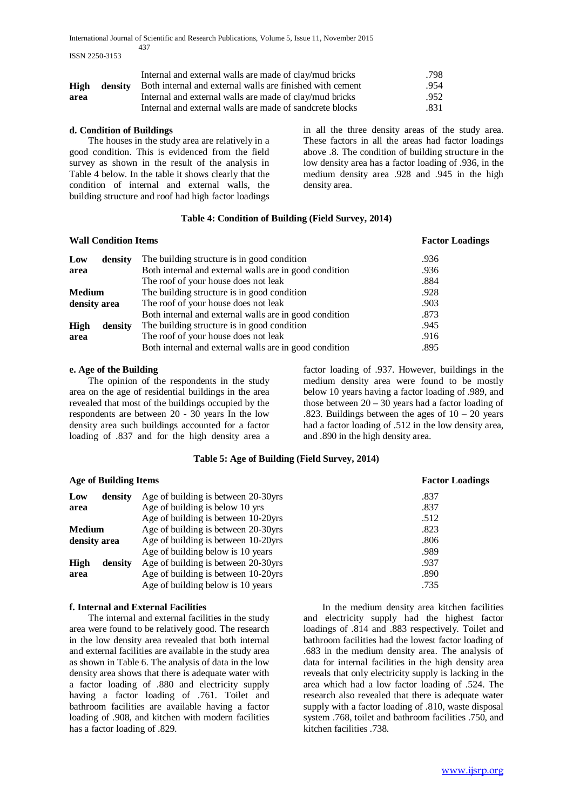International Journal of Scientific and Research Publications, Volume 5, Issue 11, November 2015 437

ISSN 2250-3153

|      | Internal and external walls are made of clay/mud bricks                       | .798 |
|------|-------------------------------------------------------------------------------|------|
|      | <b>High</b> density Both internal and external walls are finished with cement | .954 |
| area | Internal and external walls are made of clay/mud bricks                       | .952 |
|      | Internal and external walls are made of sandcrete blocks                      | .831 |

## **d. Condition of Buildings**

 The houses in the study area are relatively in a good condition. This is evidenced from the field survey as shown in the result of the analysis in Table 4 below. In the table it shows clearly that the condition of internal and external walls, the building structure and roof had high factor loadings

in all the three density areas of the study area. These factors in all the areas had factor loadings above .8. The condition of building structure in the low density area has a factor loading of .936, in the medium density area .928 and .945 in the high density area.

## **Table 4: Condition of Building (Field Survey, 2014)**

| <b>Wall Condition Items</b> |         | <b>Factor Loadings</b>                                 |      |
|-----------------------------|---------|--------------------------------------------------------|------|
| Low                         | density | The building structure is in good condition            | .936 |
| area                        |         | Both internal and external walls are in good condition | .936 |
|                             |         | The roof of your house does not leak                   | .884 |
| <b>Medium</b>               |         | The building structure is in good condition            | .928 |
| density area                |         | The roof of your house does not leak                   | .903 |
|                             |         | Both internal and external walls are in good condition | .873 |
| High                        | density | The building structure is in good condition            | .945 |
| area                        |         | The roof of your house does not leak                   | .916 |
|                             |         | Both internal and external walls are in good condition | .895 |

#### **e. Age of the Building**

 The opinion of the respondents in the study area on the age of residential buildings in the area revealed that most of the buildings occupied by the respondents are between 20 - 30 years In the low density area such buildings accounted for a factor loading of .837 and for the high density area a

factor loading of .937. However, buildings in the medium density area were found to be mostly below 10 years having a factor loading of .989, and those between  $20 - 30$  years had a factor loading of .823. Buildings between the ages of  $10 - 20$  years had a factor loading of .512 in the low density area, and .890 in the high density area.

## **Table 5: Age of Building (Field Survey, 2014)**

#### **Age of Building Items Factor Loadings Low density area** Age of building is between 20-30yrs .837 Age of building is below 10 yrs .837 Age of building is between 10-20yrs .512 **Medium density area** Age of building is between 20-30yrs .823 Age of building is between 10-20yrs .806<br>Age of building below is 10 years .989 Age of building below is 10 years .989<br>Age of building is between 20-30 yrs .937 **High density area** Age of building is between 20-30yrs .937<br>Age of building is between 10-20yrs .890 Age of building is between 10-20yrs Age of building below is 10 years .735

## **f. Internal and External Facilities**

 The internal and external facilities in the study area were found to be relatively good. The research in the low density area revealed that both internal and external facilities are available in the study area as shown in Table 6. The analysis of data in the low density area shows that there is adequate water with a factor loading of .880 and electricity supply having a factor loading of .761. Toilet and bathroom facilities are available having a factor loading of .908, and kitchen with modern facilities has a factor loading of .829.

 In the medium density area kitchen facilities and electricity supply had the highest factor loadings of .814 and .883 respectively. Toilet and bathroom facilities had the lowest factor loading of .683 in the medium density area. The analysis of data for internal facilities in the high density area reveals that only electricity supply is lacking in the area which had a low factor loading of .524. The research also revealed that there is adequate water supply with a factor loading of .810, waste disposal system .768, toilet and bathroom facilities .750, and kitchen facilities .738.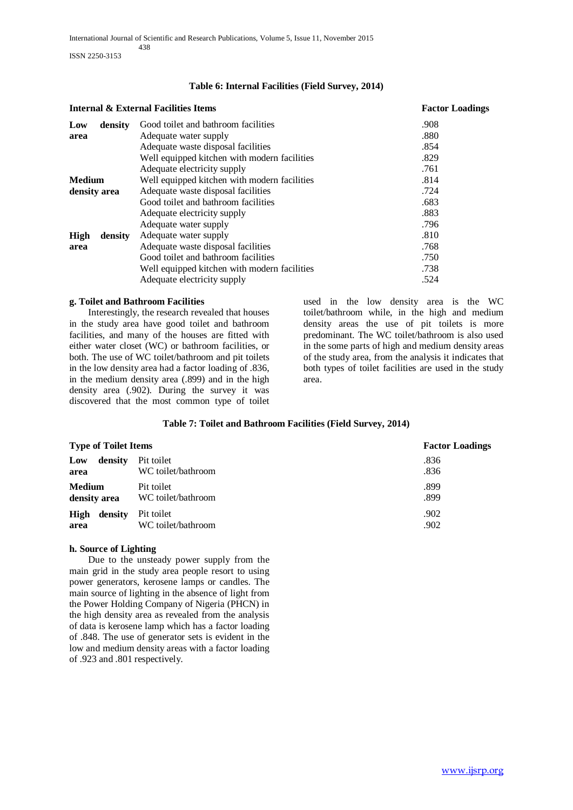## **Table 6: Internal Facilities (Field Survey, 2014)**

|                 | Internal & External Facilities Items         | <b>Factor Loadings</b> |
|-----------------|----------------------------------------------|------------------------|
| Low<br>density  | Good toilet and bathroom facilities          | .908                   |
| area            | Adequate water supply                        | .880                   |
|                 | Adequate waste disposal facilities           | .854                   |
|                 | Well equipped kitchen with modern facilities | .829                   |
|                 | Adequate electricity supply                  | .761                   |
| <b>Medium</b>   | Well equipped kitchen with modern facilities | .814                   |
| density area    | Adequate waste disposal facilities           | .724                   |
|                 | Good toilet and bathroom facilities          | .683                   |
|                 | Adequate electricity supply                  | .883                   |
|                 | Adequate water supply                        | .796                   |
| High<br>density | Adequate water supply                        | .810                   |
| area            | Adequate waste disposal facilities           | .768                   |
|                 | Good toilet and bathroom facilities          | .750                   |
|                 | Well equipped kitchen with modern facilities | .738                   |
|                 | Adequate electricity supply                  | .524                   |
|                 |                                              |                        |

## **g. Toilet and Bathroom Facilities**

 Interestingly, the research revealed that houses in the study area have good toilet and bathroom facilities, and many of the houses are fitted with either water closet (WC) or bathroom facilities, or both. The use of WC toilet/bathroom and pit toilets in the low density area had a factor loading of .836, in the medium density area (.899) and in the high density area (.902). During the survey it was discovered that the most common type of toilet

used in the low density area is the WC toilet/bathroom while, in the high and medium density areas the use of pit toilets is more predominant. The WC toilet/bathroom is also used in the some parts of high and medium density areas of the study area, from the analysis it indicates that both types of toilet facilities are used in the study area.

# **Table 7: Toilet and Bathroom Facilities (Field Survey, 2014)**

| <b>Type of Toilet Items</b>   |                                  | <b>Factor Loadings</b> |  |
|-------------------------------|----------------------------------|------------------------|--|
| density<br>Low<br>area        | Pit toilet<br>WC toilet/bathroom | .836<br>.836           |  |
| <b>Medium</b><br>density area | Pit toilet<br>WC toilet/bathroom | .899<br>.899           |  |
| density<br>High<br>area       | Pit toilet<br>WC toilet/bathroom | .902<br>.902           |  |

# **h. Source of Lighting**

 Due to the unsteady power supply from the main grid in the study area people resort to using power generators, kerosene lamps or candles. The main source of lighting in the absence of light from the Power Holding Company of Nigeria (PHCN) in the high density area as revealed from the analysis of data is kerosene lamp which has a factor loading of .848. The use of generator sets is evident in the low and medium density areas with a factor loading of .923 and .801 respectively.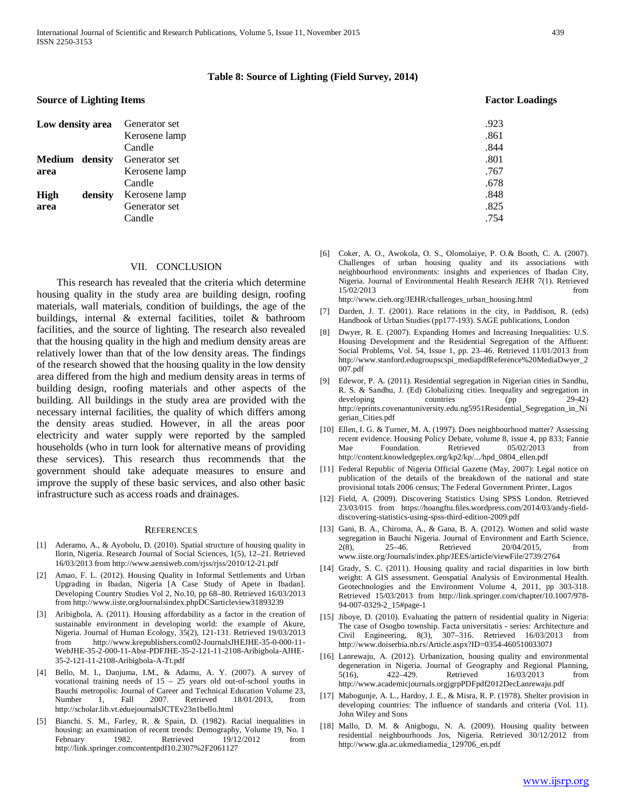#### **Table 8: Source of Lighting (Field Survey, 2014)**

#### **Source of Lighting Items Factor Loadings**

| Low density area |         | Generator set | .923 |
|------------------|---------|---------------|------|
|                  |         | Kerosene lamp | .861 |
|                  |         | Candle        | .844 |
| Medium density   |         | Generator set | .801 |
| area             |         | Kerosene lamp | .767 |
|                  |         | Candle        | .678 |
| <b>High</b>      | density | Kerosene lamp | .848 |
| area             |         | Generator set | .825 |
|                  |         | Candle        | .754 |

#### VII. CONCLUSION

 This research has revealed that the criteria which determine housing quality in the study area are building design, roofing materials, wall materials, condition of buildings, the age of the buildings, internal & external facilities, toilet & bathroom facilities, and the source of lighting. The research also revealed that the housing quality in the high and medium density areas are relatively lower than that of the low density areas. The findings of the research showed that the housing quality in the low density area differed from the high and medium density areas in terms of building design, roofing materials and other aspects of the building. All buildings in the study area are provided with the necessary internal facilities, the quality of which differs among the density areas studied. However, in all the areas poor electricity and water supply were reported by the sampled households (who in turn look for alternative means of providing these services). This research thus recommends that the government should take adequate measures to ensure and improve the supply of these basic services, and also other basic infrastructure such as access roads and drainages.

#### **REFERENCES**

- [1] Aderamo, A., & Ayobolu, D. (2010). Spatial structure of housing quality in Ilorin, Nigeria. Research Journal of Social Sciences, 1(5), 12–21. Retrieved 16/03/2013 from http://www.aensiweb.com/rjss/rjss/2010/12-21.pdf
- [2] Amao, F. L. (2012). Housing Quality in Informal Settlements and Urban Upgrading in Ibadan, Nigeria [A Case Study of Apete in Ibadan]. Developing Country Studies Vol 2, No.10, pp 68–80. Retrieved 16/03/2013 from http://www.iiste.orgJournalsindex.phpDCSarticleview31893239
- [3] Aribigbola, A. (2011). Housing affordability as a factor in the creation of sustainable environment in developing world: the example of Akure, Nigeria. Journal of Human Ecology, 35(2), 121-131. Retrieved 19/03/2013 from http://www.krepublishers.com02-JournalsJHEJHE-35-0-000-11- WebJHE-35-2-000-11-Abst-PDFJHE-35-2-121-11-2108-Aribigbola-AJHE-35-2-121-11-2108-Aribigbola-A-Tt.pdf
- [4] Bello, M. I., Danjuma, I.M., & Adamu, A. Y. (2007). A survey of vocational training needs of 15 – 25 years old out-of-school youths in Bauchi metropolis: Journal of Career and Technical Education Volume 23, Number 1, Fall 2007. Retrieved 18/01/2013, from http://scholar.lib.vt.eduejournalsJCTEv23n1bello.html
- [5] Bianchi. S. M., Farley, R. & Spain, D. (1982). Racial inequalities in housing: an examination of recent trends: Demography, Volume 19, No. 1 February 1982. Retrieved 19/12/2012 from http://link.springer.comcontentpdf10.2307%2F2061127

[6] Coker, A. O., Awokola, O. S., Olomolaiye, P. O.& Booth, C. A. (2007). Challenges of urban housing quality and its associations with neighbourhood environments: insights and experiences of Ibadan City, Nigeria. Journal of Environmental Health Research JEHR 7(1). Retrieved 15/02/2013 from

http://www.cieh.org/JEHR/challenges\_urban\_housing.html

- [7] Darden, J. T. (2001). Race relations in the city, in Paddison, R. (eds) Handbook of Urban Studies (pp177-193). SAGE publications, London
- [8] Dwyer, R. E. (2007). Expanding Homes and Increasing Inequalities: U.S. Housing Development and the Residential Segregation of the Affluent: Social Problems, Vol. 54, Issue 1, pp. 23–46. Retrieved 11/01/2013 from http://www.stanford.edugroupscspi\_mediapdfReference%20MediaDwyer\_2 007.pdf
- [9] Edewor, P. A. (2011). Residential segregation in Nigerian cities in Sandhu, R. S. & Sandhu, J. (Ed) Globalizing cities. Inequality and segregation in developing countries (pp 29-42) http://eprints.covenantuniversity.edu.ng5951Residential\_Segregation\_in\_Ni gerian\_Cities.pdf
- [10] Ellen, I. G. & Turner, M. A. (1997). Does neighbourhood matter? Assessing recent evidence. Housing Policy Debate, volume 8, issue 4, pp 833; Fannie Mae Foundation. Retrieved 05/02/2013 from http://content.knowledgeplex.org/kp2/kp/.../hpd\_0804\_ellen.pdf
- [11] Federal Republic of Nigeria Official Gazette (May, 2007): Legal notice on publication of the details of the breakdown of the national and state provisional totals 2006 census; The Federal Government Printer, Lagos
- [12] Field, A. (2009). Discovering Statistics Using SPSS London. Retrieved 23/03/015 from https://hoangftu.files.wordpress.com/2014/03/andy-fielddiscovering-statistics-using-spss-third-edition-2009.pdf
- [13] Gani, B. A., Chiroma, A., & Gana, B. A. (2012). Women and solid waste segregation in Bauchi Nigeria. Journal of Environment and Earth Science, 2(8), 25–46. Retrieved 20/04/2015, from www.iiste.org/Journals/index.php/JEES/article/viewFile/2739/2764
- [14] Grady, S. C. (2011). Housing quality and racial disparities in low birth weight: A GIS assessment. Geospatial Analysis of Environmental Health. Geotechnologies and the Environment Volume 4, 2011, pp 303-318. Retrieved 15/03/2013 from http://link.springer.com/chapter/10.1007/978- 94-007-0329-2\_15#page-1
- [15] Jiboye, D. (2010). Evaluating the pattern of residential quality in Nigeria: The case of Osogbo township. Facta universitatis - series: Architecture and Civil Engineering, 8(3), 307–316. Retrieved 16/03/2013 from http://www.doiserbia.nb.rs/Article.aspx?ID=0354-46051003307J
- [16] Lanrewaju, A. (2012). Urbanization, housing quality and environmental degeneration in Nigeria. Journal of Geography and Regional Planning,<br>5(16),  $422-429$ . Retrieved  $16/03/2013$  from 5(16), 422–429. Retrieved 16/03/2013 from http://www.academicjournals.orgjgrpPDFpdf2012DecLanrewaju.pdf
- [17] Mabogunje, A. L., Hardoy, J. E., & Misra, R. P. (1978). Shelter provision in developing countries: The influence of standards and criteria (Vol. 11). John Wiley and Sons
- [18] Mallo, D. M. & Anigbogu, N. A. (2009). Housing quality between residential neighbourhoods Jos, Nigeria. Retrieved 30/12/2012 from http://www.gla.ac.ukmediamedia\_129706\_en.pdf